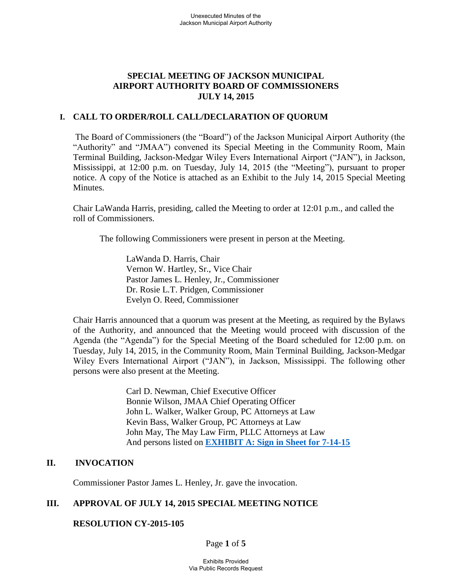### **SPECIAL MEETING OF JACKSON MUNICIPAL AIRPORT AUTHORITY BOARD OF COMMISSIONERS JULY 14, 2015**

#### **I. CALL TO ORDER/ROLL CALL/DECLARATION OF QUORUM**

The Board of Commissioners (the "Board") of the Jackson Municipal Airport Authority (the "Authority" and "JMAA") convened its Special Meeting in the Community Room, Main Terminal Building, Jackson-Medgar Wiley Evers International Airport ("JAN"), in Jackson, Mississippi, at 12:00 p.m. on Tuesday, July 14, 2015 (the "Meeting"), pursuant to proper notice. A copy of the Notice is attached as an Exhibit to the July 14, 2015 Special Meeting Minutes.

Chair LaWanda Harris, presiding, called the Meeting to order at 12:01 p.m., and called the roll of Commissioners.

The following Commissioners were present in person at the Meeting.

 LaWanda D. Harris, Chair Vernon W. Hartley, Sr., Vice Chair Pastor James L. Henley, Jr., Commissioner Dr. Rosie L.T. Pridgen, Commissioner Evelyn O. Reed, Commissioner

 Chair Harris announced that a quorum was present at the Meeting, as required by the Bylaws of the Authority, and announced that the Meeting would proceed with discussion of the Agenda (the "Agenda") for the Special Meeting of the Board scheduled for 12:00 p.m. on Tuesday, July 14, 2015, in the Community Room, Main Terminal Building, Jackson-Medgar Wiley Evers International Airport ("JAN"), in Jackson, Mississippi. The following other persons were also present at the Meeting.

> Carl D. Newman, Chief Executive Officer Bonnie Wilson, JMAA Chief Operating Officer John L. Walker, Walker Group, PC Attorneys at Law Kevin Bass, Walker Group, PC Attorneys at Law John May, The May Law Firm, PLLC Attorneys at Law And persons listed on **[EXHIBIT A: Sign in Sheet for 7-14-15](file:///F:/2015-02%20Board%20Meeting/Sign-In%20Sheet%20Regular%20Board%20Meeting%20February%2023%202015.pdf)**

### **II. INVOCATION**

Commissioner Pastor James L. Henley, Jr. gave the invocation.

### **III. APPROVAL OF JULY 14, 2015 SPECIAL MEETING NOTICE**

#### **RESOLUTION CY-2015-105**

Page **1** of **5**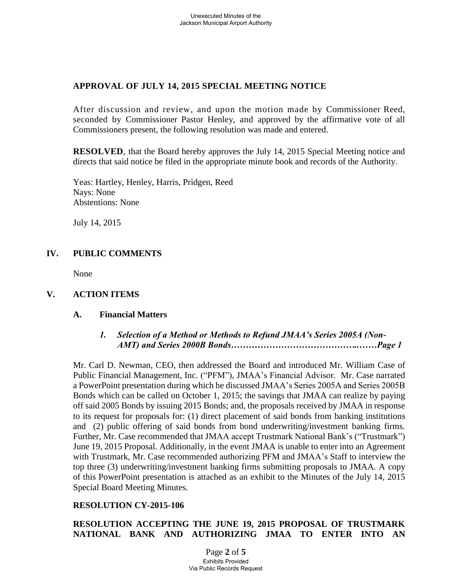## **APPROVAL OF JULY 14, 2015 SPECIAL MEETING NOTICE**

After discussion and review, and upon the motion made by Commissioner Reed, seconded by Commissioner Pastor Henley, and approved by the affirmative vote of all Commissioners present, the following resolution was made and entered.

**RESOLVED**, that the Board hereby approves the July 14, 2015 Special Meeting notice and directs that said notice be filed in the appropriate minute book and records of the Authority.

Yeas: Hartley, Henley, Harris, Pridgen, Reed Nays: None Abstentions: None

July 14, 2015

# **IV. PUBLIC COMMENTS**

None

## **V. ACTION ITEMS**

### **A. Financial Matters**

### *1. Selection of a Method or Methods to Refund JMAA's Series 2005A (Non- AMT) and Series 2000B Bonds……………………………………..……Page 1*

Mr. Carl D. Newman, CEO, then addressed the Board and introduced Mr. William Case of Public Financial Management, Inc. ("PFM"), JMAA's Financial Advisor. Mr. Case narrated a PowerPoint presentation during which he discussed JMAA's Series 2005A and Series 2005B Bonds which can be called on October 1, 2015; the savings that JMAA can realize by paying off said 2005 Bonds by issuing 2015 Bonds; and, the proposals received by JMAA in response to its request for proposals for: (1) direct placement of said bonds from banking institutions and (2) public offering of said bonds from bond underwriting/investment banking firms. Further, Mr. Case recommended that JMAA accept Trustmark National Bank's ("Trustmark") June 19, 2015 Proposal. Additionally, in the event JMAA is unable to enter into an Agreement with Trustmark, Mr. Case recommended authorizing PFM and JMAA's Staff to interview the top three (3) underwriting/investment banking firms submitting proposals to JMAA. A copy of this PowerPoint presentation is attached as an exhibit to the Minutes of the July 14, 2015 Special Board Meeting Minutes.

### **RESOLUTION CY-2015-106**

**RESOLUTION ACCEPTING THE JUNE 19, 2015 PROPOSAL OF TRUSTMARK NATIONAL BANK AND AUTHORIZING JMAA TO ENTER INTO AN** 

> Page **2** of **5** Exhibits Provided Via Public Records Request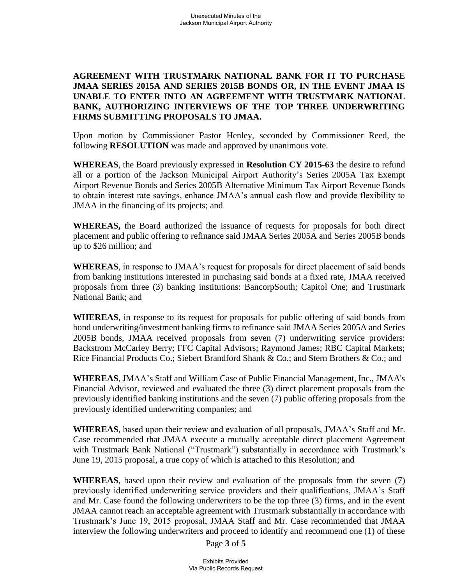### **AGREEMENT WITH TRUSTMARK NATIONAL BANK FOR IT TO PURCHASE JMAA SERIES 2015A AND SERIES 2015B BONDS OR, IN THE EVENT JMAA IS UNABLE TO ENTER INTO AN AGREEMENT WITH TRUSTMARK NATIONAL BANK, AUTHORIZING INTERVIEWS OF THE TOP THREE UNDERWRITING FIRMS SUBMITTING PROPOSALS TO JMAA.**

Upon motion by Commissioner Pastor Henley, seconded by Commissioner Reed, the following **RESOLUTION** was made and approved by unanimous vote.

 **WHEREAS**, the Board previously expressed in **Resolution CY 2015-63** the desire to refund all or a portion of the Jackson Municipal Airport Authority's Series 2005A Tax Exempt Airport Revenue Bonds and Series 2005B Alternative Minimum Tax Airport Revenue Bonds to obtain interest rate savings, enhance JMAA's annual cash flow and provide flexibility to JMAA in the financing of its projects; and

**WHEREAS,** the Board authorized the issuance of requests for proposals for both direct placement and public offering to refinance said JMAA Series 2005A and Series 2005B bonds up to \$26 million; and

**WHEREAS**, in response to JMAA's request for proposals for direct placement of said bonds from banking institutions interested in purchasing said bonds at a fixed rate, JMAA received proposals from three (3) banking institutions: BancorpSouth; Capitol One; and Trustmark National Bank; and

**WHEREAS**, in response to its request for proposals for public offering of said bonds from bond underwriting/investment banking firms to refinance said JMAA Series 2005A and Series 2005B bonds, JMAA received proposals from seven (7) underwriting service providers: Backstrom McCarley Berry; FFC Capital Advisors; Raymond James; RBC Capital Markets; Rice Financial Products Co.; Siebert Brandford Shank & Co.; and Stern Brothers & Co.; and

**WHEREAS**, JMAA's Staff and William Case of Public Financial Management, Inc., JMAA's Financial Advisor, reviewed and evaluated the three (3) direct placement proposals from the previously identified banking institutions and the seven (7) public offering proposals from the previously identified underwriting companies; and

**WHEREAS**, based upon their review and evaluation of all proposals, JMAA's Staff and Mr. Case recommended that JMAA execute a mutually acceptable direct placement Agreement with Trustmark Bank National ("Trustmark") substantially in accordance with Trustmark's June 19, 2015 proposal, a true copy of which is attached to this Resolution; and

**WHEREAS**, based upon their review and evaluation of the proposals from the seven (7) previously identified underwriting service providers and their qualifications, JMAA's Staff and Mr. Case found the following underwriters to be the top three (3) firms, and in the event JMAA cannot reach an acceptable agreement with Trustmark substantially in accordance with Trustmark's June 19, 2015 proposal, JMAA Staff and Mr. Case recommended that JMAA interview the following underwriters and proceed to identify and recommend one (1) of these

Page **3** of **5**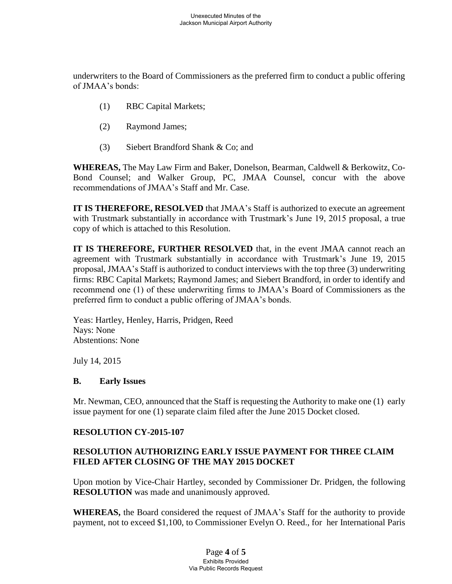underwriters to the Board of Commissioners as the preferred firm to conduct a public offering of JMAA's bonds:

- (1) RBC Capital Markets;
- (2) Raymond James;
- (3) Siebert Brandford Shank & Co; and

**WHEREAS,** The May Law Firm and Baker, Donelson, Bearman, Caldwell & Berkowitz, Co-Bond Counsel; and Walker Group, PC, JMAA Counsel, concur with the above recommendations of JMAA's Staff and Mr. Case.

**IT IS THEREFORE, RESOLVED** that JMAA's Staff is authorized to execute an agreement with Trustmark substantially in accordance with Trustmark's June 19, 2015 proposal, a true copy of which is attached to this Resolution.

**IT IS THEREFORE, FURTHER RESOLVED** that, in the event JMAA cannot reach an agreement with Trustmark substantially in accordance with Trustmark's June 19, 2015 proposal, JMAA's Staff is authorized to conduct interviews with the top three (3) underwriting firms: RBC Capital Markets; Raymond James; and Siebert Brandford, in order to identify and recommend one (1) of these underwriting firms to JMAA's Board of Commissioners as the preferred firm to conduct a public offering of JMAA's bonds.

Yeas: Hartley, Henley, Harris, Pridgen, Reed Nays: None Abstentions: None

July 14, 2015

#### **B. Early Issues**

Mr. Newman, CEO, announced that the Staff is requesting the Authority to make one (1) early issue payment for one (1) separate claim filed after the June 2015 Docket closed.

### **RESOLUTION CY-2015-107**

### **RESOLUTION AUTHORIZING EARLY ISSUE PAYMENT FOR THREE CLAIM FILED AFTER CLOSING OF THE MAY 2015 DOCKET**

Upon motion by Vice-Chair Hartley, seconded by Commissioner Dr. Pridgen, the following **RESOLUTION** was made and unanimously approved.

**WHEREAS,** the Board considered the request of JMAA's Staff for the authority to provide payment, not to exceed \$1,100, to Commissioner Evelyn O. Reed., for her International Paris